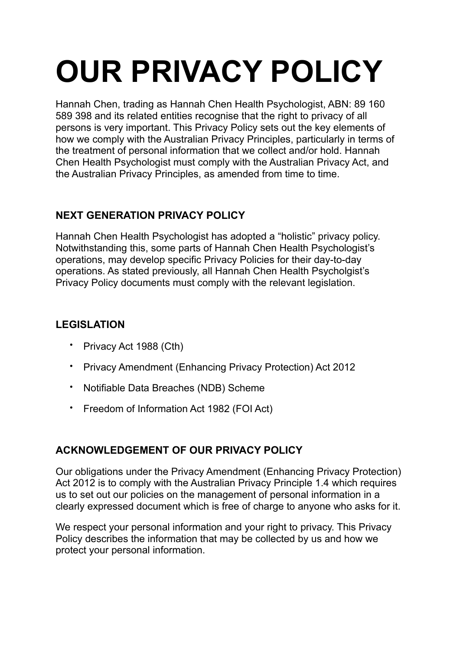# **OUR PRIVACY POLICY**

Hannah Chen, trading as Hannah Chen Health Psychologist, ABN: 89 160 589 398 and its related entities recognise that the right to privacy of all persons is very important. This Privacy Policy sets out the key elements of how we comply with the Australian Privacy Principles, particularly in terms of the treatment of personal information that we collect and/or hold. Hannah Chen Health Psychologist must comply with the Australian Privacy Act, and the Australian Privacy Principles, as amended from time to time.

## **NEXT GENERATION PRIVACY POLICY**

Hannah Chen Health Psychologist has adopted a "holistic" privacy policy. Notwithstanding this, some parts of Hannah Chen Health Psychologist's operations, may develop specific Privacy Policies for their day-to-day operations. As stated previously, all Hannah Chen Health Psycholgist's Privacy Policy documents must comply with the relevant legislation.

# **LEGISLATION**

- Privacy Act 1988 (Cth)
- Privacy Amendment (Enhancing Privacy Protection) Act 2012
- Notifiable Data Breaches (NDB) Scheme
- Freedom of Information Act 1982 (FOI Act)

# **ACKNOWLEDGEMENT OF OUR PRIVACY POLICY**

Our obligations under the Privacy Amendment (Enhancing Privacy Protection) Act 2012 is to comply with the Australian Privacy Principle 1.4 which requires us to set out our policies on the management of personal information in a clearly expressed document which is free of charge to anyone who asks for it.

We respect your personal information and your right to privacy. This Privacy Policy describes the information that may be collected by us and how we protect your personal information.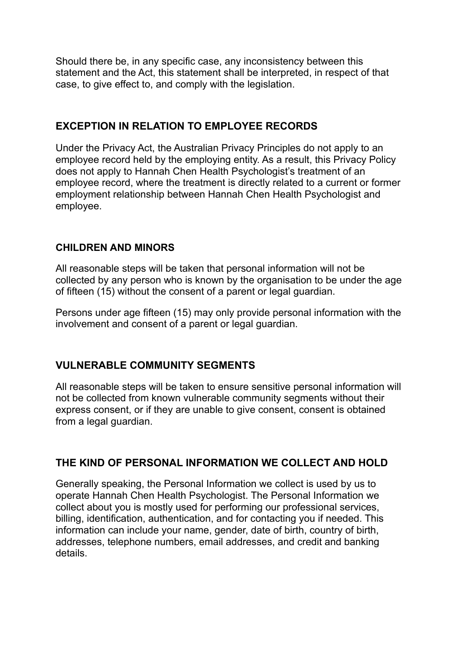Should there be, in any specific case, any inconsistency between this statement and the Act, this statement shall be interpreted, in respect of that case, to give effect to, and comply with the legislation.

## **EXCEPTION IN RELATION TO EMPLOYEE RECORDS**

Under the Privacy Act, the Australian Privacy Principles do not apply to an employee record held by the employing entity. As a result, this Privacy Policy does not apply to Hannah Chen Health Psychologist's treatment of an employee record, where the treatment is directly related to a current or former employment relationship between Hannah Chen Health Psychologist and employee.

## **CHILDREN AND MINORS**

All reasonable steps will be taken that personal information will not be collected by any person who is known by the organisation to be under the age of fifteen (15) without the consent of a parent or legal guardian.

Persons under age fifteen (15) may only provide personal information with the involvement and consent of a parent or legal guardian.

## **VULNERABLE COMMUNITY SEGMENTS**

All reasonable steps will be taken to ensure sensitive personal information will not be collected from known vulnerable community segments without their express consent, or if they are unable to give consent, consent is obtained from a legal guardian.

## **THE KIND OF PERSONAL INFORMATION WE COLLECT AND HOLD**

Generally speaking, the Personal Information we collect is used by us to operate Hannah Chen Health Psychologist. The Personal Information we collect about you is mostly used for performing our professional services, billing, identification, authentication, and for contacting you if needed. This information can include your name, gender, date of birth, country of birth, addresses, telephone numbers, email addresses, and credit and banking details.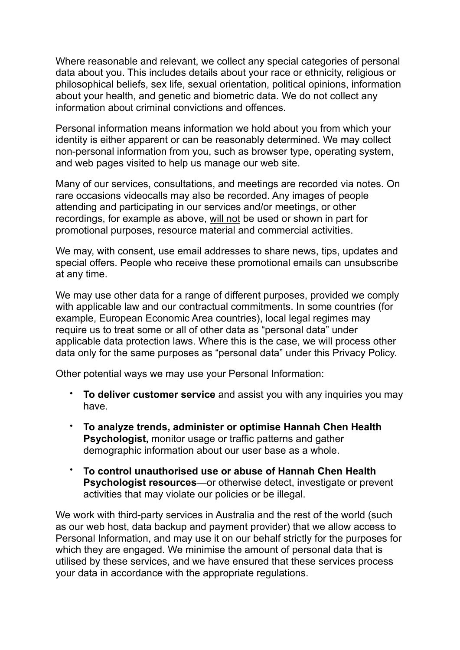Where reasonable and relevant, we collect any special categories of personal data about you. This includes details about your race or ethnicity, religious or philosophical beliefs, sex life, sexual orientation, political opinions, information about your health, and genetic and biometric data. We do not collect any information about criminal convictions and offences.

Personal information means information we hold about you from which your identity is either apparent or can be reasonably determined. We may collect non-personal information from you, such as browser type, operating system, and web pages visited to help us manage our web site.

Many of our services, consultations, and meetings are recorded via notes. On rare occasions videocalls may also be recorded. Any images of people attending and participating in our services and/or meetings, or other recordings, for example as above, will not be used or shown in part for promotional purposes, resource material and commercial activities.

We may, with consent, use email addresses to share news, tips, updates and special offers. People who receive these promotional emails can unsubscribe at any time.

We may use other data for a range of different purposes, provided we comply with applicable law and our contractual commitments. In some countries (for example, European Economic Area countries), local legal regimes may require us to treat some or all of other data as "personal data" under applicable data protection laws. Where this is the case, we will process other data only for the same purposes as "personal data" under this Privacy Policy.

Other potential ways we may use your Personal Information:

- **To deliver customer service** and assist you with any inquiries you may have.
- **To analyze trends, administer or optimise Hannah Chen Health Psychologist,** monitor usage or traffic patterns and gather demographic information about our user base as a whole.
- **To control unauthorised use or abuse of Hannah Chen Health Psychologist resources**—or otherwise detect, investigate or prevent activities that may violate our policies or be illegal.

We work with third-party services in Australia and the rest of the world (such as our web host, data backup and payment provider) that we allow access to Personal Information, and may use it on our behalf strictly for the purposes for which they are engaged. We minimise the amount of personal data that is utilised by these services, and we have ensured that these services process your data in accordance with the appropriate regulations.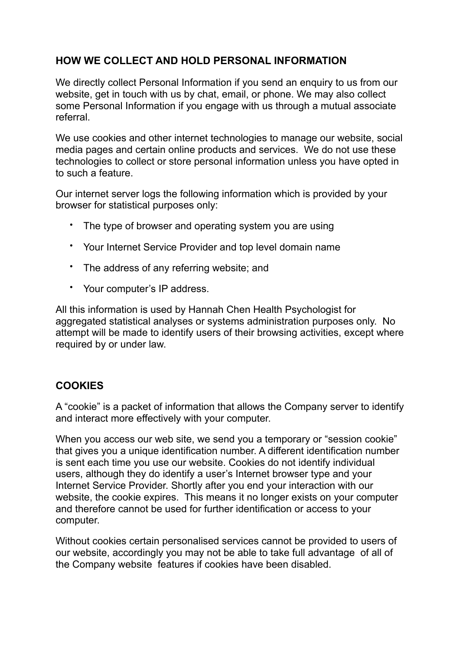## **HOW WE COLLECT AND HOLD PERSONAL INFORMATION**

We directly collect Personal Information if you send an enquiry to us from our website, get in touch with us by chat, email, or phone. We may also collect some Personal Information if you engage with us through a mutual associate referral.

We use cookies and other internet technologies to manage our website, social media pages and certain online products and services. We do not use these technologies to collect or store personal information unless you have opted in to such a feature.

Our internet server logs the following information which is provided by your browser for statistical purposes only:

- The type of browser and operating system you are using
- Your Internet Service Provider and top level domain name
- The address of any referring website; and
- Your computer's IP address.

All this information is used by Hannah Chen Health Psychologist for aggregated statistical analyses or systems administration purposes only. No attempt will be made to identify users of their browsing activities, except where required by or under law.

## **COOKIES**

A "cookie" is a packet of information that allows the Company server to identify and interact more effectively with your computer.

When you access our web site, we send you a temporary or "session cookie" that gives you a unique identification number. A different identification number is sent each time you use our website. Cookies do not identify individual users, although they do identify a user's Internet browser type and your Internet Service Provider. Shortly after you end your interaction with our website, the cookie expires. This means it no longer exists on your computer and therefore cannot be used for further identification or access to your computer.

Without cookies certain personalised services cannot be provided to users of our website, accordingly you may not be able to take full advantage of all of the Company website features if cookies have been disabled.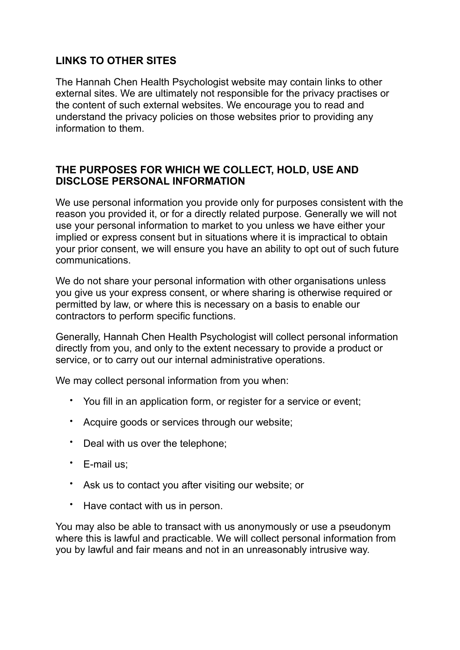## **LINKS TO OTHER SITES**

The Hannah Chen Health Psychologist website may contain links to other external sites. We are ultimately not responsible for the privacy practises or the content of such external websites. We encourage you to read and understand the privacy policies on those websites prior to providing any information to them.

#### **THE PURPOSES FOR WHICH WE COLLECT, HOLD, USE AND DISCLOSE PERSONAL INFORMATION**

We use personal information you provide only for purposes consistent with the reason you provided it, or for a directly related purpose. Generally we will not use your personal information to market to you unless we have either your implied or express consent but in situations where it is impractical to obtain your prior consent, we will ensure you have an ability to opt out of such future communications.

We do not share your personal information with other organisations unless you give us your express consent, or where sharing is otherwise required or permitted by law, or where this is necessary on a basis to enable our contractors to perform specific functions.

Generally, Hannah Chen Health Psychologist will collect personal information directly from you, and only to the extent necessary to provide a product or service, or to carry out our internal administrative operations.

We may collect personal information from you when:

- You fill in an application form, or register for a service or event;
- Acquire goods or services through our website;
- Deal with us over the telephone;
- E-mail us;
- Ask us to contact you after visiting our website; or
- Have contact with us in person.

You may also be able to transact with us anonymously or use a pseudonym where this is lawful and practicable. We will collect personal information from you by lawful and fair means and not in an unreasonably intrusive way.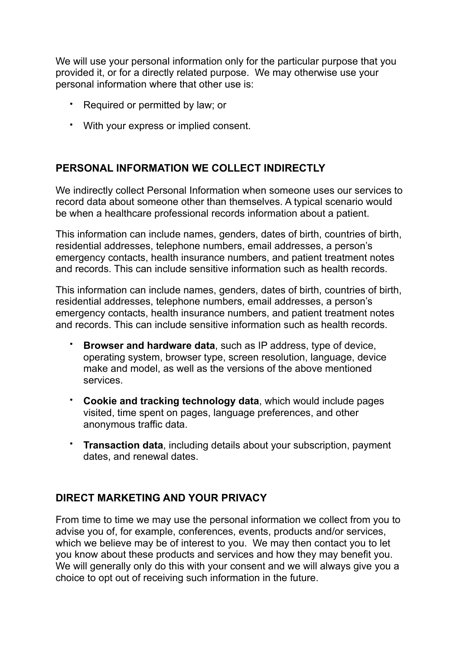We will use your personal information only for the particular purpose that you provided it, or for a directly related purpose. We may otherwise use your personal information where that other use is:

- Required or permitted by law; or
- With your express or implied consent.

## **PERSONAL INFORMATION WE COLLECT INDIRECTLY**

We indirectly collect Personal Information when someone uses our services to record data about someone other than themselves. A typical scenario would be when a healthcare professional records information about a patient.

This information can include names, genders, dates of birth, countries of birth, residential addresses, telephone numbers, email addresses, a person's emergency contacts, health insurance numbers, and patient treatment notes and records. This can include sensitive information such as health records.

This information can include names, genders, dates of birth, countries of birth, residential addresses, telephone numbers, email addresses, a person's emergency contacts, health insurance numbers, and patient treatment notes and records. This can include sensitive information such as health records.

- **Browser and hardware data**, such as IP address, type of device, operating system, browser type, screen resolution, language, device make and model, as well as the versions of the above mentioned services.
- **Cookie and tracking technology data**, which would include pages visited, time spent on pages, language preferences, and other anonymous traffic data.
- **Transaction data**, including details about your subscription, payment dates, and renewal dates.

## **DIRECT MARKETING AND YOUR PRIVACY**

From time to time we may use the personal information we collect from you to advise you of, for example, conferences, events, products and/or services, which we believe may be of interest to you. We may then contact you to let you know about these products and services and how they may benefit you. We will generally only do this with your consent and we will always give you a choice to opt out of receiving such information in the future.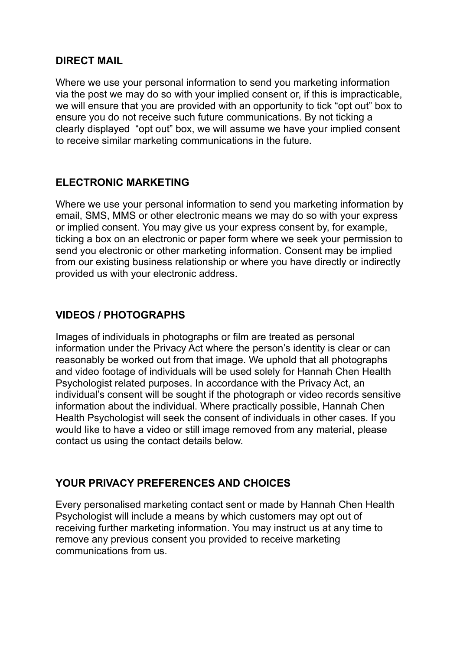#### **DIRECT MAIL**

Where we use your personal information to send you marketing information via the post we may do so with your implied consent or, if this is impracticable, we will ensure that you are provided with an opportunity to tick "opt out" box to ensure you do not receive such future communications. By not ticking a clearly displayed "opt out" box, we will assume we have your implied consent to receive similar marketing communications in the future.

## **ELECTRONIC MARKETING**

Where we use your personal information to send you marketing information by email, SMS, MMS or other electronic means we may do so with your express or implied consent. You may give us your express consent by, for example, ticking a box on an electronic or paper form where we seek your permission to send you electronic or other marketing information. Consent may be implied from our existing business relationship or where you have directly or indirectly provided us with your electronic address.

## **VIDEOS / PHOTOGRAPHS**

Images of individuals in photographs or film are treated as personal information under the Privacy Act where the person's identity is clear or can reasonably be worked out from that image. We uphold that all photographs and video footage of individuals will be used solely for Hannah Chen Health Psychologist related purposes. In accordance with the Privacy Act, an individual's consent will be sought if the photograph or video records sensitive information about the individual. Where practically possible, Hannah Chen Health Psychologist will seek the consent of individuals in other cases. If you would like to have a video or still image removed from any material, please contact us using the contact details below.

## **YOUR PRIVACY PREFERENCES AND CHOICES**

Every personalised marketing contact sent or made by Hannah Chen Health Psychologist will include a means by which customers may opt out of receiving further marketing information. You may instruct us at any time to remove any previous consent you provided to receive marketing communications from us.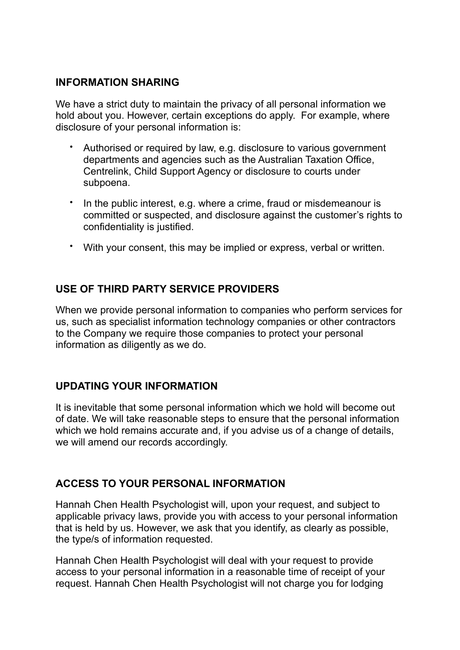#### **INFORMATION SHARING**

We have a strict duty to maintain the privacy of all personal information we hold about you. However, certain exceptions do apply. For example, where disclosure of your personal information is:

- Authorised or required by law, e.g. disclosure to various government departments and agencies such as the Australian Taxation Office, Centrelink, Child Support Agency or disclosure to courts under subpoena.
- In the public interest, e.g. where a crime, fraud or misdemeanour is committed or suspected, and disclosure against the customer's rights to confidentiality is justified.
- With your consent, this may be implied or express, verbal or written.

## **USE OF THIRD PARTY SERVICE PROVIDERS**

When we provide personal information to companies who perform services for us, such as specialist information technology companies or other contractors to the Company we require those companies to protect your personal information as diligently as we do.

## **UPDATING YOUR INFORMATION**

It is inevitable that some personal information which we hold will become out of date. We will take reasonable steps to ensure that the personal information which we hold remains accurate and, if you advise us of a change of details, we will amend our records accordingly.

## **ACCESS TO YOUR PERSONAL INFORMATION**

Hannah Chen Health Psychologist will, upon your request, and subject to applicable privacy laws, provide you with access to your personal information that is held by us. However, we ask that you identify, as clearly as possible, the type/s of information requested.

Hannah Chen Health Psychologist will deal with your request to provide access to your personal information in a reasonable time of receipt of your request. Hannah Chen Health Psychologist will not charge you for lodging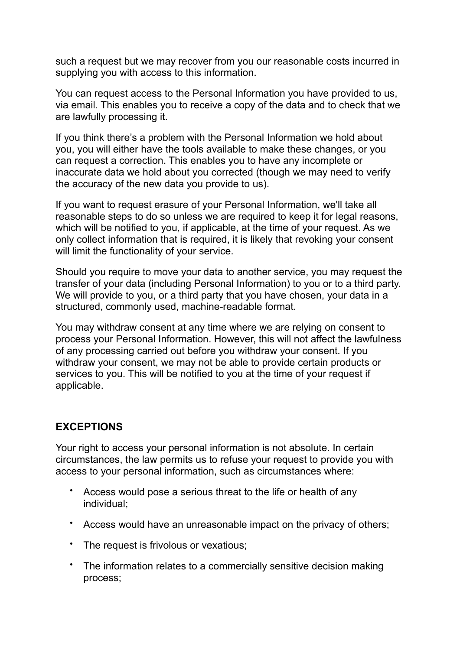such a request but we may recover from you our reasonable costs incurred in supplying you with access to this information.

You can request access to the Personal Information you have provided to us, via email. This enables you to receive a copy of the data and to check that we are lawfully processing it.

If you think there's a problem with the Personal Information we hold about you, you will either have the tools available to make these changes, or you can request a correction. This enables you to have any incomplete or inaccurate data we hold about you corrected (though we may need to verify the accuracy of the new data you provide to us).

If you want to request erasure of your Personal Information, we'll take all reasonable steps to do so unless we are required to keep it for legal reasons, which will be notified to you, if applicable, at the time of your request. As we only collect information that is required, it is likely that revoking your consent will limit the functionality of your service.

Should you require to move your data to another service, you may request the transfer of your data (including Personal Information) to you or to a third party. We will provide to you, or a third party that you have chosen, your data in a structured, commonly used, machine-readable format.

You may withdraw consent at any time where we are relying on consent to process your Personal Information. However, this will not affect the lawfulness of any processing carried out before you withdraw your consent. If you withdraw your consent, we may not be able to provide certain products or services to you. This will be notified to you at the time of your request if applicable.

## **EXCEPTIONS**

Your right to access your personal information is not absolute. In certain circumstances, the law permits us to refuse your request to provide you with access to your personal information, such as circumstances where:

- Access would pose a serious threat to the life or health of any individual;
- Access would have an unreasonable impact on the privacy of others;
- The request is frivolous or vexatious;
- The information relates to a commercially sensitive decision making process;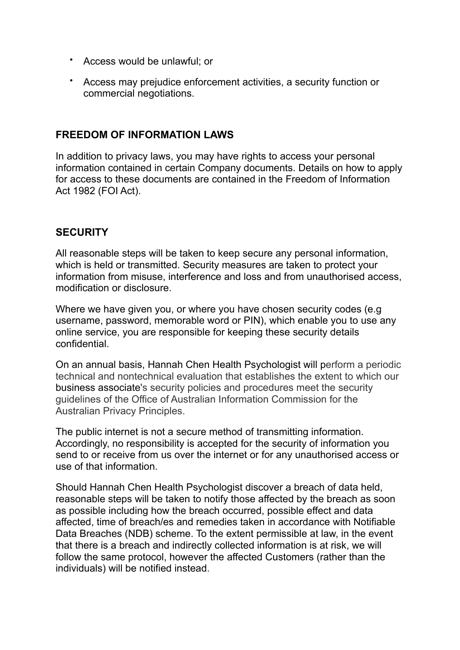- Access would be unlawful; or
- Access may prejudice enforcement activities, a security function or commercial negotiations.

#### **FREEDOM OF INFORMATION LAWS**

In addition to privacy laws, you may have rights to access your personal information contained in certain Company documents. Details on how to apply for access to these documents are contained in the Freedom of Information Act 1982 (FOI Act).

#### **SECURITY**

All reasonable steps will be taken to keep secure any personal information, which is held or transmitted. Security measures are taken to protect your information from misuse, interference and loss and from unauthorised access, modification or disclosure.

Where we have given you, or where you have chosen security codes (e.g username, password, memorable word or PIN), which enable you to use any online service, you are responsible for keeping these security details confidential.

On an annual basis, Hannah Chen Health Psychologist will perform a periodic technical and nontechnical evaluation that establishes the extent to which our business associate's security policies and procedures meet the security guidelines of the Office of Australian Information Commission for the Australian Privacy Principles.

The public internet is not a secure method of transmitting information. Accordingly, no responsibility is accepted for the security of information you send to or receive from us over the internet or for any unauthorised access or use of that information.

Should Hannah Chen Health Psychologist discover a breach of data held, reasonable steps will be taken to notify those affected by the breach as soon as possible including how the breach occurred, possible effect and data affected, time of breach/es and remedies taken in accordance with Notifiable Data Breaches (NDB) scheme. To the extent permissible at law, in the event that there is a breach and indirectly collected information is at risk, we will follow the same protocol, however the affected Customers (rather than the individuals) will be notified instead.